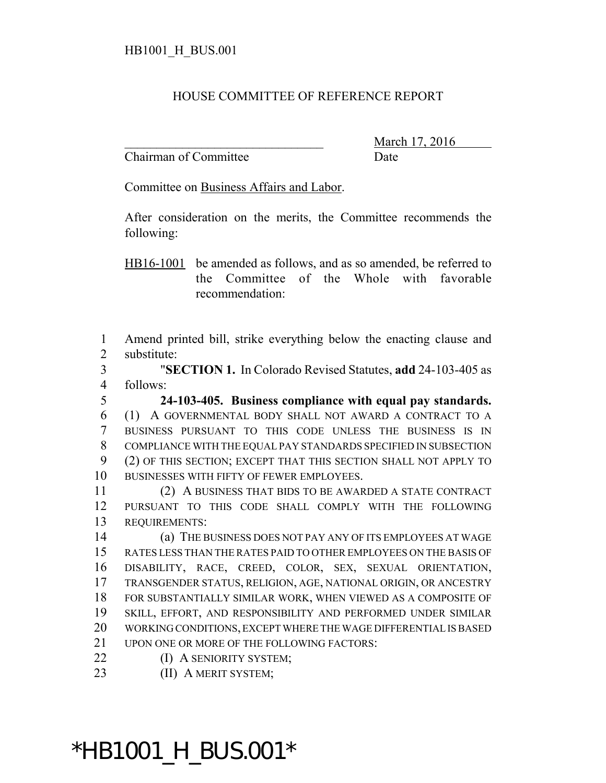## HOUSE COMMITTEE OF REFERENCE REPORT

Chairman of Committee Date

\_\_\_\_\_\_\_\_\_\_\_\_\_\_\_\_\_\_\_\_\_\_\_\_\_\_\_\_\_\_\_ March 17, 2016

Committee on Business Affairs and Labor.

After consideration on the merits, the Committee recommends the following:

HB16-1001 be amended as follows, and as so amended, be referred to the Committee of the Whole with favorable recommendation:

 Amend printed bill, strike everything below the enacting clause and substitute:

 "**SECTION 1.** In Colorado Revised Statutes, **add** 24-103-405 as follows:

 **24-103-405. Business compliance with equal pay standards.** (1) A GOVERNMENTAL BODY SHALL NOT AWARD A CONTRACT TO A BUSINESS PURSUANT TO THIS CODE UNLESS THE BUSINESS IS IN COMPLIANCE WITH THE EQUAL PAY STANDARDS SPECIFIED IN SUBSECTION (2) OF THIS SECTION; EXCEPT THAT THIS SECTION SHALL NOT APPLY TO BUSINESSES WITH FIFTY OF FEWER EMPLOYEES.

 (2) A BUSINESS THAT BIDS TO BE AWARDED A STATE CONTRACT PURSUANT TO THIS CODE SHALL COMPLY WITH THE FOLLOWING REQUIREMENTS:

 (a) THE BUSINESS DOES NOT PAY ANY OF ITS EMPLOYEES AT WAGE RATES LESS THAN THE RATES PAID TO OTHER EMPLOYEES ON THE BASIS OF DISABILITY, RACE, CREED, COLOR, SEX, SEXUAL ORIENTATION, TRANSGENDER STATUS, RELIGION, AGE, NATIONAL ORIGIN, OR ANCESTRY FOR SUBSTANTIALLY SIMILAR WORK, WHEN VIEWED AS A COMPOSITE OF SKILL, EFFORT, AND RESPONSIBILITY AND PERFORMED UNDER SIMILAR WORKING CONDITIONS, EXCEPT WHERE THE WAGE DIFFERENTIAL IS BASED UPON ONE OR MORE OF THE FOLLOWING FACTORS:

**(I) A SENIORITY SYSTEM;** 

23 (II) A MERIT SYSTEM;

## \*HB1001\_H\_BUS.001\*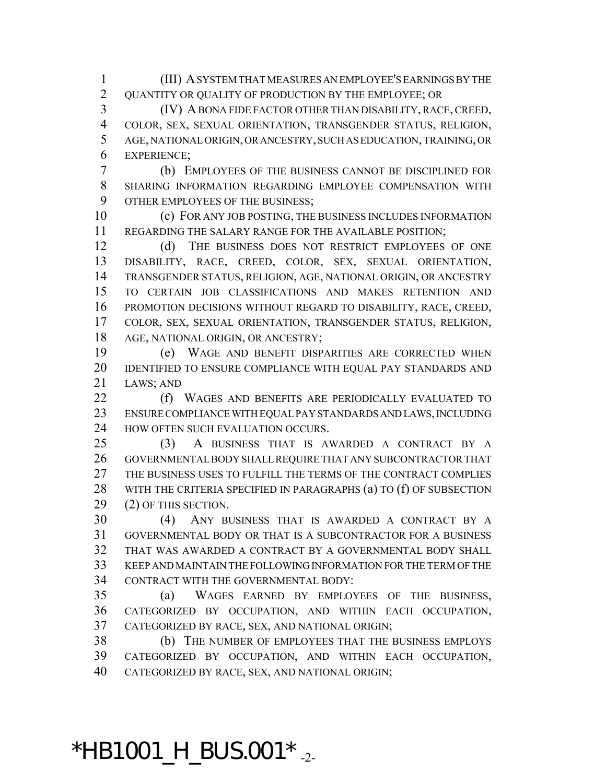(III) A SYSTEM THAT MEASURES AN EMPLOYEE'S EARNINGS BY THE QUANTITY OR QUALITY OF PRODUCTION BY THE EMPLOYEE; OR

 (IV) A BONA FIDE FACTOR OTHER THAN DISABILITY, RACE, CREED, COLOR, SEX, SEXUAL ORIENTATION, TRANSGENDER STATUS, RELIGION, AGE, NATIONAL ORIGIN, OR ANCESTRY, SUCH AS EDUCATION, TRAINING, OR EXPERIENCE;

 (b) EMPLOYEES OF THE BUSINESS CANNOT BE DISCIPLINED FOR SHARING INFORMATION REGARDING EMPLOYEE COMPENSATION WITH OTHER EMPLOYEES OF THE BUSINESS;

 (c) FOR ANY JOB POSTING, THE BUSINESS INCLUDES INFORMATION REGARDING THE SALARY RANGE FOR THE AVAILABLE POSITION;

12 (d) THE BUSINESS DOES NOT RESTRICT EMPLOYEES OF ONE DISABILITY, RACE, CREED, COLOR, SEX, SEXUAL ORIENTATION, TRANSGENDER STATUS, RELIGION, AGE, NATIONAL ORIGIN, OR ANCESTRY TO CERTAIN JOB CLASSIFICATIONS AND MAKES RETENTION AND PROMOTION DECISIONS WITHOUT REGARD TO DISABILITY, RACE, CREED, COLOR, SEX, SEXUAL ORIENTATION, TRANSGENDER STATUS, RELIGION, AGE, NATIONAL ORIGIN, OR ANCESTRY;

 (e) WAGE AND BENEFIT DISPARITIES ARE CORRECTED WHEN IDENTIFIED TO ENSURE COMPLIANCE WITH EQUAL PAY STANDARDS AND LAWS; AND

22 (f) WAGES AND BENEFITS ARE PERIODICALLY EVALUATED TO ENSURE COMPLIANCE WITH EQUAL PAY STANDARDS AND LAWS, INCLUDING 24 HOW OFTEN SUCH EVALUATION OCCURS.

 (3) A BUSINESS THAT IS AWARDED A CONTRACT BY A GOVERNMENTAL BODY SHALL REQUIRE THAT ANY SUBCONTRACTOR THAT THE BUSINESS USES TO FULFILL THE TERMS OF THE CONTRACT COMPLIES 28 WITH THE CRITERIA SPECIFIED IN PARAGRAPHS (a) TO (f) OF SUBSECTION (2) OF THIS SECTION.

 (4) ANY BUSINESS THAT IS AWARDED A CONTRACT BY A GOVERNMENTAL BODY OR THAT IS A SUBCONTRACTOR FOR A BUSINESS THAT WAS AWARDED A CONTRACT BY A GOVERNMENTAL BODY SHALL KEEP AND MAINTAIN THE FOLLOWING INFORMATION FOR THE TERM OF THE CONTRACT WITH THE GOVERNMENTAL BODY:

 (a) WAGES EARNED BY EMPLOYEES OF THE BUSINESS, CATEGORIZED BY OCCUPATION, AND WITHIN EACH OCCUPATION, CATEGORIZED BY RACE, SEX, AND NATIONAL ORIGIN;

 (b) THE NUMBER OF EMPLOYEES THAT THE BUSINESS EMPLOYS CATEGORIZED BY OCCUPATION, AND WITHIN EACH OCCUPATION, CATEGORIZED BY RACE, SEX, AND NATIONAL ORIGIN;

 $*$ HB1001\_H\_BUS.001 $*$ <sub>-2-</sub>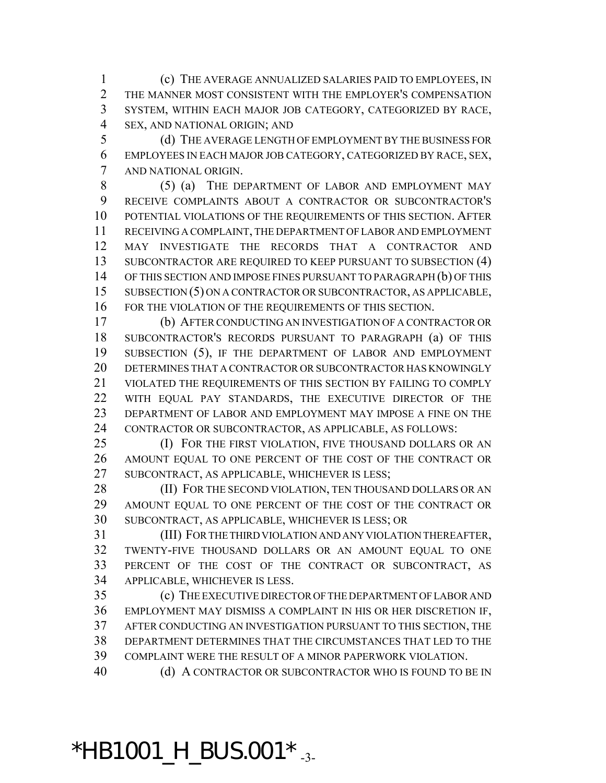(c) THE AVERAGE ANNUALIZED SALARIES PAID TO EMPLOYEES, IN THE MANNER MOST CONSISTENT WITH THE EMPLOYER'S COMPENSATION SYSTEM, WITHIN EACH MAJOR JOB CATEGORY, CATEGORIZED BY RACE, SEX, AND NATIONAL ORIGIN; AND

 (d) THE AVERAGE LENGTH OF EMPLOYMENT BY THE BUSINESS FOR EMPLOYEES IN EACH MAJOR JOB CATEGORY, CATEGORIZED BY RACE, SEX, AND NATIONAL ORIGIN.

 (5) (a) THE DEPARTMENT OF LABOR AND EMPLOYMENT MAY RECEIVE COMPLAINTS ABOUT A CONTRACTOR OR SUBCONTRACTOR'S POTENTIAL VIOLATIONS OF THE REQUIREMENTS OF THIS SECTION. AFTER RECEIVING A COMPLAINT, THE DEPARTMENT OF LABOR AND EMPLOYMENT MAY INVESTIGATE THE RECORDS THAT A CONTRACTOR AND SUBCONTRACTOR ARE REQUIRED TO KEEP PURSUANT TO SUBSECTION (4) OF THIS SECTION AND IMPOSE FINES PURSUANT TO PARAGRAPH (b) OF THIS SUBSECTION (5) ON A CONTRACTOR OR SUBCONTRACTOR, AS APPLICABLE, FOR THE VIOLATION OF THE REQUIREMENTS OF THIS SECTION.

 (b) AFTER CONDUCTING AN INVESTIGATION OF A CONTRACTOR OR SUBCONTRACTOR'S RECORDS PURSUANT TO PARAGRAPH (a) OF THIS SUBSECTION (5), IF THE DEPARTMENT OF LABOR AND EMPLOYMENT 20 DETERMINES THAT A CONTRACTOR OR SUBCONTRACTOR HAS KNOWINGLY VIOLATED THE REQUIREMENTS OF THIS SECTION BY FAILING TO COMPLY WITH EQUAL PAY STANDARDS, THE EXECUTIVE DIRECTOR OF THE DEPARTMENT OF LABOR AND EMPLOYMENT MAY IMPOSE A FINE ON THE CONTRACTOR OR SUBCONTRACTOR, AS APPLICABLE, AS FOLLOWS:

25 (I) FOR THE FIRST VIOLATION, FIVE THOUSAND DOLLARS OR AN AMOUNT EQUAL TO ONE PERCENT OF THE COST OF THE CONTRACT OR SUBCONTRACT, AS APPLICABLE, WHICHEVER IS LESS;

28 (II) FOR THE SECOND VIOLATION, TEN THOUSAND DOLLARS OR AN AMOUNT EQUAL TO ONE PERCENT OF THE COST OF THE CONTRACT OR SUBCONTRACT, AS APPLICABLE, WHICHEVER IS LESS; OR

 (III) FOR THE THIRD VIOLATION AND ANY VIOLATION THEREAFTER, TWENTY-FIVE THOUSAND DOLLARS OR AN AMOUNT EQUAL TO ONE PERCENT OF THE COST OF THE CONTRACT OR SUBCONTRACT, AS APPLICABLE, WHICHEVER IS LESS.

 (c) THE EXECUTIVE DIRECTOR OF THE DEPARTMENT OF LABOR AND EMPLOYMENT MAY DISMISS A COMPLAINT IN HIS OR HER DISCRETION IF, AFTER CONDUCTING AN INVESTIGATION PURSUANT TO THIS SECTION, THE DEPARTMENT DETERMINES THAT THE CIRCUMSTANCES THAT LED TO THE COMPLAINT WERE THE RESULT OF A MINOR PAPERWORK VIOLATION.

40 (d) A CONTRACTOR OR SUBCONTRACTOR WHO IS FOUND TO BE IN

\*HB1001\_H\_BUS.001  $*$   $_{-3}$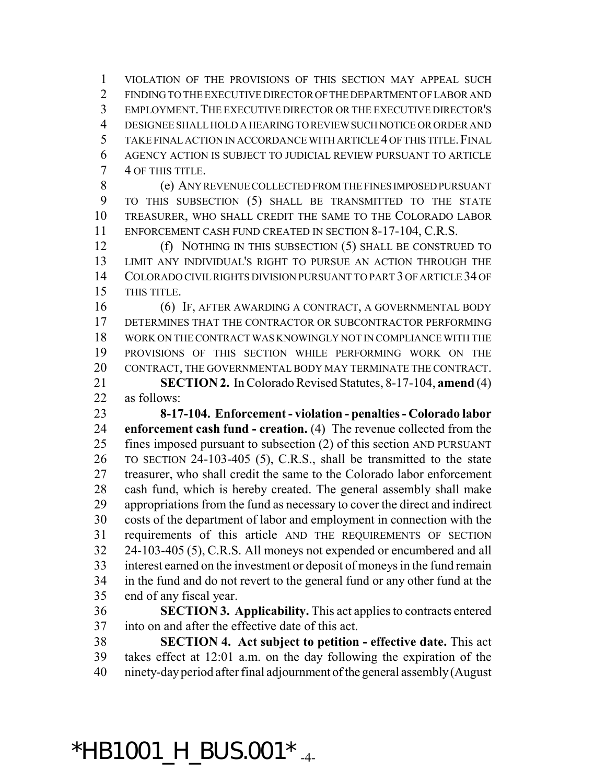VIOLATION OF THE PROVISIONS OF THIS SECTION MAY APPEAL SUCH FINDING TO THE EXECUTIVE DIRECTOR OF THE DEPARTMENT OF LABOR AND EMPLOYMENT.THE EXECUTIVE DIRECTOR OR THE EXECUTIVE DIRECTOR'S DESIGNEE SHALL HOLD A HEARING TO REVIEW SUCH NOTICE OR ORDER AND TAKE FINAL ACTION IN ACCORDANCE WITH ARTICLE 4 OF THIS TITLE.FINAL AGENCY ACTION IS SUBJECT TO JUDICIAL REVIEW PURSUANT TO ARTICLE 4 OF THIS TITLE.

 (e) ANY REVENUE COLLECTED FROM THE FINES IMPOSED PURSUANT TO THIS SUBSECTION (5) SHALL BE TRANSMITTED TO THE STATE TREASURER, WHO SHALL CREDIT THE SAME TO THE COLORADO LABOR ENFORCEMENT CASH FUND CREATED IN SECTION 8-17-104, C.R.S.

 (f) NOTHING IN THIS SUBSECTION (5) SHALL BE CONSTRUED TO LIMIT ANY INDIVIDUAL'S RIGHT TO PURSUE AN ACTION THROUGH THE COLORADO CIVIL RIGHTS DIVISION PURSUANT TO PART 3 OF ARTICLE 34 OF THIS TITLE.

 (6) IF, AFTER AWARDING A CONTRACT, A GOVERNMENTAL BODY DETERMINES THAT THE CONTRACTOR OR SUBCONTRACTOR PERFORMING WORK ON THE CONTRACT WAS KNOWINGLY NOT IN COMPLIANCE WITH THE PROVISIONS OF THIS SECTION WHILE PERFORMING WORK ON THE CONTRACT, THE GOVERNMENTAL BODY MAY TERMINATE THE CONTRACT.

 **SECTION 2.** In Colorado Revised Statutes, 8-17-104, **amend** (4) as follows:

 **8-17-104. Enforcement - violation - penalties - Colorado labor enforcement cash fund - creation.** (4) The revenue collected from the fines imposed pursuant to subsection (2) of this section AND PURSUANT TO SECTION 24-103-405 (5), C.R.S., shall be transmitted to the state treasurer, who shall credit the same to the Colorado labor enforcement cash fund, which is hereby created. The general assembly shall make appropriations from the fund as necessary to cover the direct and indirect costs of the department of labor and employment in connection with the requirements of this article AND THE REQUIREMENTS OF SECTION 24-103-405 (5), C.R.S. All moneys not expended or encumbered and all interest earned on the investment or deposit of moneys in the fund remain in the fund and do not revert to the general fund or any other fund at the end of any fiscal year.

 **SECTION 3. Applicability.** This act applies to contracts entered into on and after the effective date of this act.

 **SECTION 4. Act subject to petition - effective date.** This act takes effect at 12:01 a.m. on the day following the expiration of the ninety-day period after final adjournment of the general assembly (August

## \*HB1001 H BUS.001\*  $_{4}$ -